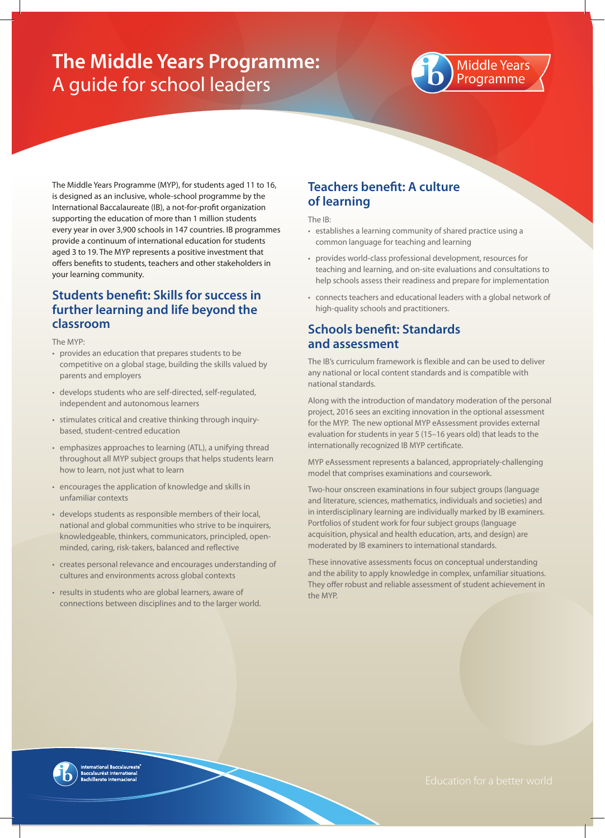# **The Middle Years Programme:**  A guide for school leaders



The Middle Years Programme (MYP), for students aged 11 to 16, is designed as an inclusive, whole-school programme by the International Baccalaureate (IB), a not-for-profit organization supporting the education of more than 1 million students every year in over 3,900 schools in 147 countries. IB programmes provide a continuum of international education for students aged 3 to 19. The MYP represents a positive investment that offers benefits to students, teachers and other stakeholders in your learning community.

#### **Students benefit: Skills for success in further learning and life beyond the classroom**

The MYP:

- provides an education that prepares students to be competitive on a global stage, building the skills valued by parents and employers
- develops students who are self-directed, self-regulated, independent and autonomous learners
- stimulates critical and creative thinking through inquirybased, student-centred education
- emphasizes approaches to learning (ATL), a unifying thread throughout all MYP subject groups that helps students learn how to learn, not just what to learn
- encourages the application of knowledge and skills in unfamiliar contexts
- develops students as responsible members of their local, national and global communities who strive to be inquirers, knowledgeable, thinkers, communicators, principled, openminded, caring, risk-takers, balanced and reflective
- creates personal relevance and encourages understanding of cultures and environments across global contexts
- results in students who are global learners, aware of connections between disciplines and to the larger world.

## **Teachers benefit: A culture of learning**

The IB:

- establishes a learning community of shared practice using a common language for teaching and learning
- provides world-class professional development, resources for teaching and learning, and on-site evaluations and consultations to help schools assess their readiness and prepare for implementation
- connects teachers and educational leaders with a global network of high-quality schools and practitioners.

## **Schools benefit: Standards and assessment**

The IB's curriculum framework is flexible and can be used to deliver any national or local content standards and is compatible with national standards.

Along with the introduction of mandatory moderation of the personal project, 2016 sees an exciting innovation in the optional assessment for the MYP. The new optional MYP eAssessment provides external evaluation for students in year 5 (15–16 years old) that leads to the internationally recognized IB MYP certificate.

MYP eAssessment represents a balanced, appropriately-challenging model that comprises examinations and coursework.

Two-hour onscreen examinations in four subject groups (language and literature, sciences, mathematics, individuals and societies) and in interdisciplinary learning are individually marked by IB examiners. Portfolios of student work for four subject groups (language acquisition, physical and health education, arts, and design) are moderated by IB examiners to international standards.

These innovative assessments focus on conceptual understanding and the ability to apply knowledge in complex, unfamiliar situations. They offer robust and reliable assessment of student achievement in the MYP.